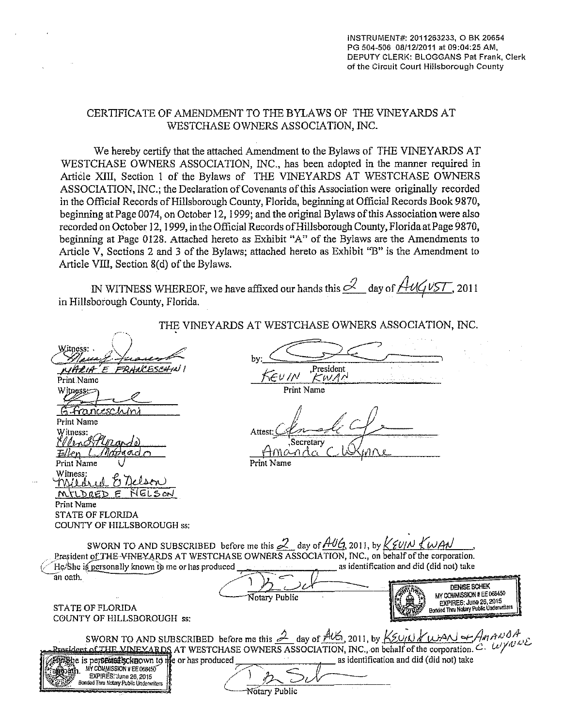### CERTIFICATE OF AMENDMENT TO THE BYLAWS OF THE VINEYARDS AT WESTCHASE OWNERS ASSOCIATION, INC.

We hereby certify that the attached Amendment to the Bylaws of THE VINEY ARDS AT WESTCHASE OWNERS ASSOCIATION, INC., has been adopted in the manner required in Article XIII, Section 1 of the Bylaws of THE VINEYARDS AT WESTCHASE OWNERS ASSOCIATION, INC.; the Declaration of Covenants of this Association were originally recorded in the Official Records of Hillsborough County, Florida, beginning at Official Records Book 9870, beginning at Page 0074, on October 12, 1999; and the original Bylaws of this Association were also recorded on October 12, I 999, in the Official Records ofHillsborough County, Florida at Page 9870, beginning at Page 0128. Attached hereto as Exhibit "A" of the Bylaws are the Amendments to Article V, Sections 2 and 3 of the Bylaws; attached hereto as Exhibit "B" is the Amendment to Article VIII, Section 8(d) of the Bylaws.

IN WITNESS WHEREOF, we have affixed our hands this  $\mathcal{L}_2$  day of  $\mathcal{A} \cup \mathcal{A} \cup \mathcal{A}$  2011 in Hillsborough County, Florida.

|                                                                                                                                                | THE VINEYARDS AT WESTCHASE OWNERS ASSOCIATION, INC.                                                                                                                                                                                                                                                                                                                                                                                                                       |
|------------------------------------------------------------------------------------------------------------------------------------------------|---------------------------------------------------------------------------------------------------------------------------------------------------------------------------------------------------------------------------------------------------------------------------------------------------------------------------------------------------------------------------------------------------------------------------------------------------------------------------|
| Witness:<br>HZIA<br>Print Name<br>Witness $\leftleftarrows$                                                                                    | bν:<br>,President<br><i>KEVIN</i><br>KWAN<br>Print Name                                                                                                                                                                                                                                                                                                                                                                                                                   |
| Ranceschin<br><b>Print Name</b><br>Witness:<br>Nachtland<br>ውቅው ረረ<br>Print Name                                                               | Attest<br>Secretary<br>Print Name                                                                                                                                                                                                                                                                                                                                                                                                                                         |
| Witness:<br>Milier<br>GLSON<br>ه ۱۵۴۲<br>Print Name<br><b>STATE OF FLORIDA</b><br>COUNTY OF HILLSBOROUGH ss;                                   |                                                                                                                                                                                                                                                                                                                                                                                                                                                                           |
| He She is personally known to me or has produced<br>an oath.<br><b>STATE OF FLORIDA</b><br>COUNTY OF HILLSBOROUGH ss:                          | SWORN TO AND SUBSCRIBED before me this $\mathcal{Z}_{\mathcal{A}}$ day of $\mathcal{A\mathcal{U}G}$ 2011, by $\chi \leq \mathcal{U}/\mathcal{N} \leq \mathcal{U}/\mathcal{A}\mathcal{N}$<br>President of THE-VINEYARDS AT WESTCHASE OWNERS ASSOCIATION, INC., on behalf of the corporation.<br>as identification and did (did not) take<br>DENISE SCHEK<br>MY COMMISSION # EE 068450<br>Notary Public<br>EXPIRES: June 26, 2015<br>Bonded Thru Notary Public Underwriters |
| be is periodistication to the or has produced<br>MY COMMISSION # EE 068450<br>EXPIRES: June 26, 2015<br>Bonded Thru Notary Public Underwriters | SWORN TO AND SUBSCRIBED before me this 2 day of ALG, 2011, by $K_{\text{EOM}}$ (U) $\lambda$ (U) $\lambda$ (U) $\lambda$ (U) $\lambda$ (U) $\lambda$ (U) $\lambda$ (U) $\lambda$ (U) $\lambda$ (U) $\lambda$ (U) $\lambda$ (C) (U) $\lambda$ (C) (U) $\lambda$ (C) (U) $\lambda$ (C) (U) $\lambda$ (C) (U<br>as identification and did (did not) take<br>Notary Public                                                                                                    |

THE VINEY ARDS AT WESTCHASE OWNERS ASSOCIATION, INC.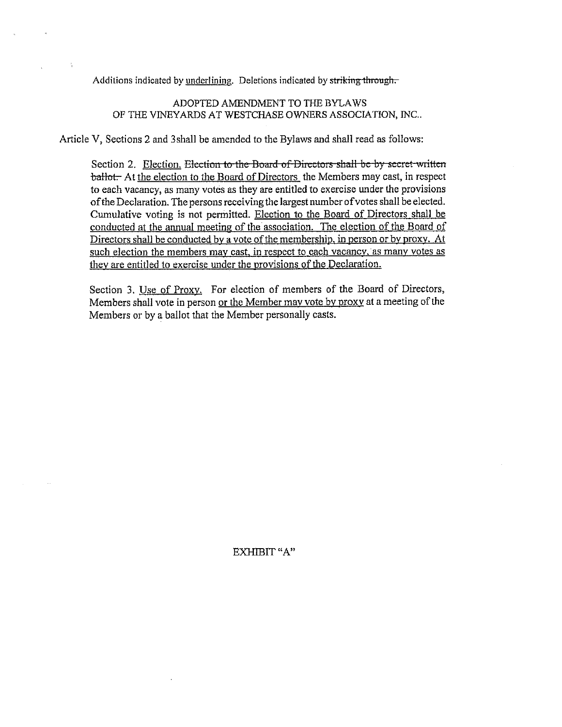Additions indicated by underlining. Deletions indicated by striking through.

### ADOPTED AMENDMENT TO THE BYLAWS OF THE VINEYARDS AT WESTCHASE OWNERS ASSOCIATION, INC..

Article V, Sections 2 and 3shall be amended to the Bylaws and shall read as follows:

Section 2. Election. Election to the Board of Directors shall be by secret written ballot. At the election to the Board of Directors, the Members may cast, in respect to each vacancy, as many votes as they are entitled to exercise under the provisions of the Declaration. The persons receiving the largest number of votes shall be elected. Cumulative voting is not permitted. Election to the Board of Directors shall be conducted at the annual meeting of the association. The election of the Board of Directors shall be conducted by a vote of the membership, in person or by proxy. At such election the members may cast, in respect to each vacancy, as many votes as they are entitled to exercise under the provisions of the Declaration.

Section 3. Use of Proxy. For election of members of the Board of Directors, Members shall vote in person or the Member may vote by proxy at a meeting of the Members or by a ballot that the Member personally casts.

EXHIBIT "A"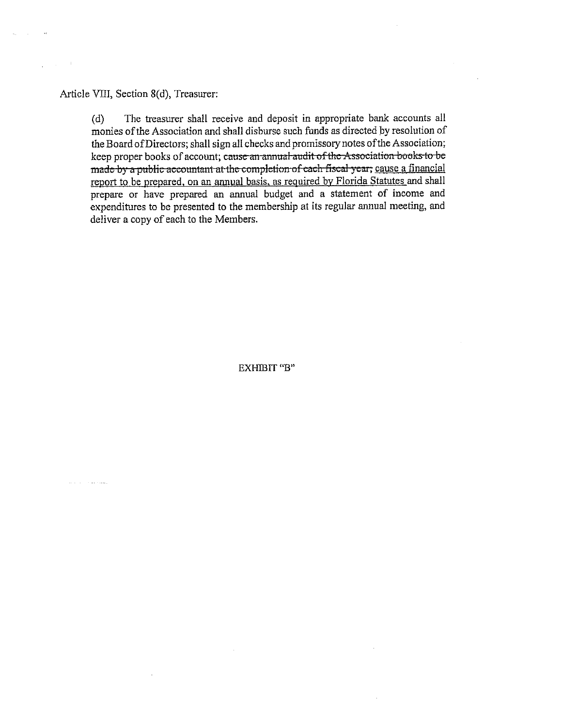Article VIII, Section 8(d), Treasurer:

 $\lambda$  .

ومناجل والمتحال والمتارين

( d) The treasurer shall receive and deposit in appropriate bank accounts all monies of the Association and shall disburse such funds as directed by resolution of the Board of Directors; shall sign all checks and promissory notes of the Association; keep proper books of account; canse an arnmal audit of the Association books to be made by a public accountant at the completion of each fiscal year; cause a financial report to be prepared. on an annual basis, as required by Florida Statutes and shall prepare or have prepared an annual budget and a statement of income and expenditures to be presented to the membership at its regular annual meeting, and deliver a copy of each to the Members.

EXHIBIT "B"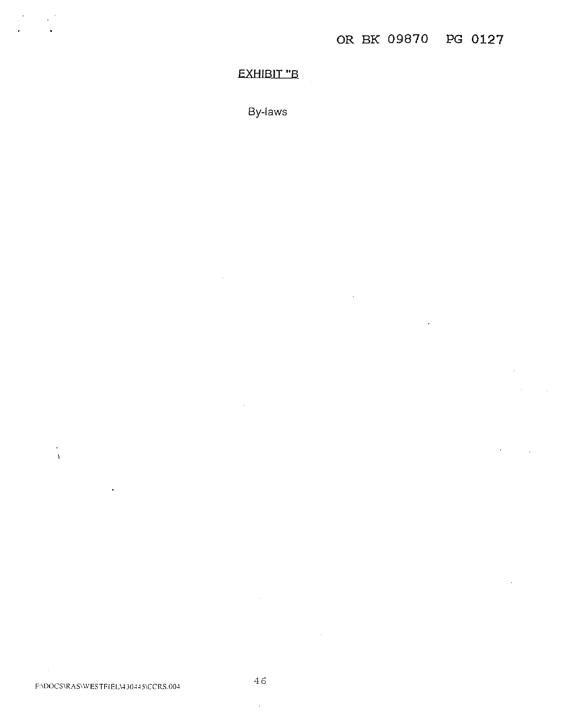# **EXHIBIT "B**

By-laws

 $\sim$ 

 $\mathcal{L}^{\mathcal{A}}$ 

 $\ddot{\phantom{a}}$  $\bar{\Lambda}$ 

 $\sim$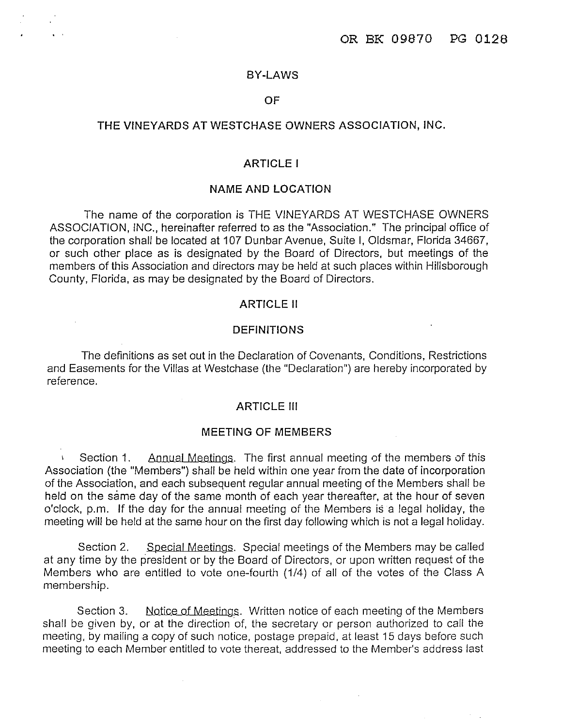### **BY-LAWS**

### **OF**

### **THE VINEYARDS AT WESTCHASE OWNERS ASSOCIATION, INC.**

### **ARTICLE** I

# **NAME AND LOCATION**

The name of the corporation is THE VINEYARDS AT WESTCHASE OWNERS ASSOCIATION, INC., hereinafter referred to as the "Association." The principal office of the corporation shall be located at 107 Dunbar Avenue, Suite I, Oldsmar, Florida 34667, or such other place as is designated by the Board of Directors, but meetings of the members of this Association and directors may be held at such places within Hillsborough County, Florida, as may be designated by the Board of Directors.

#### **ARTICLE** II

### **DEFINITIONS**

The definitions as set out in the Declaration of Covenants, Conditions, Restrictions and Easements for the Villas at Westchase (the "Declaration") are hereby incorporated by reference.

### **ARTICLE** Ill

#### **MEETING OF MEMBERS**

Section 1. Annual Meetings. The first annual meeting of the members of this Association (the "Members") shall be held within one year from the date of incorporation of the Association, and each subsequent regular annual meeting of the Members shall be held on the same day of the same month of each year thereafter, at the hour of seven o'clock, p.m. If the day for the annual meeting of the Members is a legal holiday, the meeting will be held at the same hour on the first day following which is not a legal holiday.

Section 2. Special Meetings. Special meetings of the Members may be called at any time by the president or by the Board of Directors, or upon written request of the Members who are entitled to vote one-fourth (1/4) of all of the votes of the Class A membership.

Section 3. Notice of Meetings. Written notice of each meeting of the Members shall be given by, or at the direction of, the secretary or person authorized to call the meeting, by mailing a copy of such notice, postage prepaid, at least 15 days before such meeting to each Member entitled to vote thereat, addressed to the Member's address last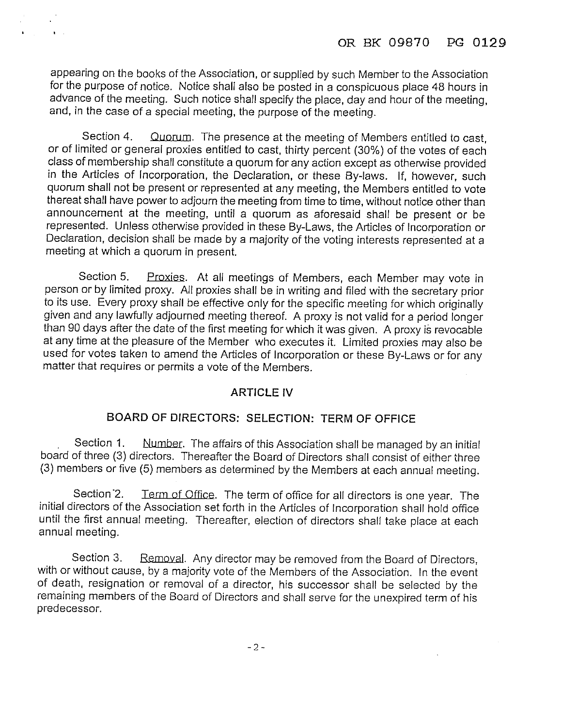appearing on the books of the Association, or supplied by such Member to the Association for the purpose of notice. Notice shall also be posted in a conspicuous place 48 hours in advance of the meeting. Such notice shall specify the place, day and hour of the meeting, and, in the case of a special meeting, the purpose of the meeting.

 $\mathbf{A}=\mathbf{A}$ 

Section 4. Quorum. The presence at the meeting of Members entitled to cast, or of limited or general proxies entitled to cast, thirty percent (30%) of the votes of each class of membership shall constitute a quorum for any action except as otherwise provided in the Articles of Incorporation, the Declaration, or these By-laws. If, however, such quorum shall not be present or represented at any meeting, the Members entitled to vote thereat shall have power to adjourn the meeting from time to time, without notice other than announcement at the meeting, until a quorum as aforesaid shall be present or be represented. Unless otherwise provided in these By-Laws, the Articles of Incorporation or Declaration, decision shall be made by a majority of the voting interests represented at a meeting at which a quorum in present.

Section 5. Proxies. At all meetings of Members, each Member may vote in person or by limited proxy. All proxies shall be in writing and filed with the secretary prior to its use. Every proxy shall be effective only for the specific meeting for which originally given and any lawfully adjourned meeting thereof. A proxy is not valid for a period longer than 90 days after the date of the first meeting for which it was given. A proxy is revocable at any time at the pleasure of the Member who executes it. Limited proxies may also be used for votes taken to amend the Articles of Incorporation or these By-Laws or for any matter that requires or permits a vote of the Members.

# **ARTICLE IV**

# **BOARD OF DIRECTORS: SELECTION: TERM OF OFFICE**

Section 1. Number. The affairs of this Association shall be managed by an initial board of three (3) directors. Thereafter the Board of Directors shall consist of either three (3) members or five (5) members as determined by the Members at each annual meeting.

Section 2. Term of Office. The term of office for all directors is one year. The initial directors of the Association set forth in the Articles of Incorporation shall hold office until the first annual meeting. Thereafter, election of directors shall take place at each annual meeting.

Section 3. Removal. Any director may be removed from the Board of Directors, with or without cause, by a majority vote of the Members of the Association. In the event of death, resignation or removal of a director, his successor shall be selected by the remaining members of the Board of Directors and shall serve for the unexpired term of his predecessor.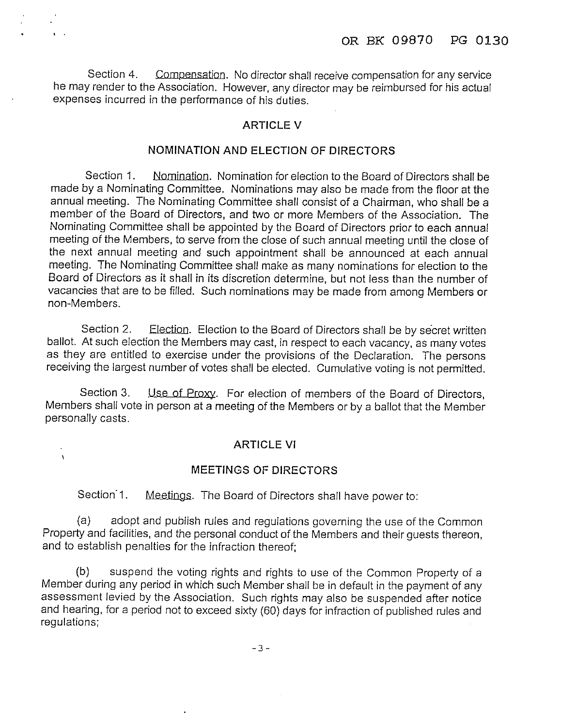Section 4. Compensation. No director shall receive compensation for any service he may render to the Association. However, any director may be reimbursed for his actual expenses incurred in the performance of his duties.

# ARTICLE V

# NOMINATION AND ELECTION OF DIRECTORS

Section 1. Nomination. Nomination for election to the Board of Directors shall be made by a Nominating Committee. Nominations may also be made from the floor at the annual meeting. The Nominating Committee shall consist of a Chairman, who shall be a member of the Board of Directors, and two or more Members of the Association. The Nominating Committee shall be appointed by the Board of Directors prior to each annual meeting of the Members, to serve from the close of such annual meeting until the close of the next annual meeting and such appointment shall be announced at each annual meeting. The Nominating Committee shall make as many nominations for election to the Board of Directors as it shall in its discretion determine, but not less than the number of vacancies that are to be filled. Such nominations may be made from among Members or non-Members.

Section 2. Election. Election to the Board of Directors shall be by secret written ballot. At such election the Members may cast, in respect to each vacancy, as many votes as they are entitled to exercise under the provisions of the Declaration. The persons receiving the largest number of votes shall be elected. Cumulative voting is not permitted.

Section 3. Use of Proxy. For election of members of the Board of Directors, Members shall vote in person at a meeting of the Members or by a ballot that the Member personally casts.

### **ARTICLE VI**

### **MEETINGS OF DIRECTORS**

Section<sup>1</sup>. Meetings. The Board of Directors shall have power to:

 $\overline{1}$ 

(a) adopt and publish rules and regulations governing the use of the Common Property and facilities, and the personal conduct of the Members and their guests thereon, and to establish penalties for the infraction thereof;

(b) suspend the voting rights and rights to use of the Common Property of a Member during any period in which such Member shall be in default in the payment of any assessment levied by the Association. Such rights may also be suspended after notice and hearing, for a period not to exceed sixty (60) days for infraction of published rules and regulations;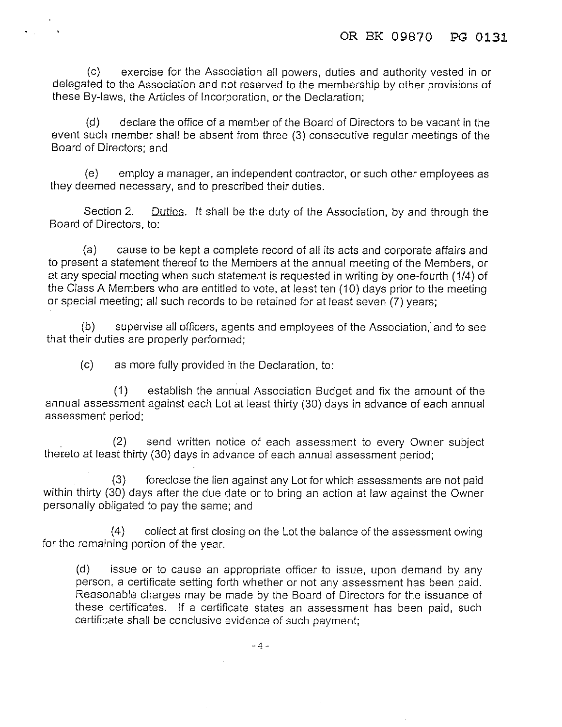(c) exercise for the Association all powers, duties and authority vested in or delegated to the Association and not reserved to the membership by other provisions of these By-laws, the Articles of Incorporation, or the Declaration;

(P) declare the office of a member of the Board of Directors to be vacant in the event such member shall be absent from three (3) consecutive regular meetings of the Board of Directors; and

(e) employ a manager, an independent contractor, or such other employees as they deemed necessary, and to prescribed their duties.

Section 2. Duties. It shall be the duty of the Association, by and through the Board of Directors, to:

(a) cause to be kept a complete record of all its acts and corporate affairs and to present a statement thereof to the Members at the annual meeting of the Members, or at any special meeting when such statement is requested in writing by one-fourth (1/4) of the Class A Members who are entitled to vote, at least ten (10) days prior to the meeting or special meeting; all such records to be retained for at least seven (7) years;

(b) supervise all officers, agents and employees of the Association: and to see that their duties are properly performed;

(c) as more fully provided in the Declaration, to:

 $\blacksquare$ 

(1) establish the annual Association Budget and fix the amount of the annual assessment against each Lot at least thirty (30) days in advance of each annual assessment period;

(2) send written notice of each assessment to every Owner subject thereto at least thirty (30) days in advance of each annual assessment period;

(3) foreclose the lien against any Lot for which assessments are not paid within thirty (30) days after the due date or to bring an action at law against the Owner personally obligated to pay the same; and

(4) collect at first closing on the Lot the balance of the assessment owing for the remaining portion of the year.

(d) issue or to cause an appropriate officer to issue, upon demand by any person, a certificate setting forth whether or not any assessment has been paid. Reasonable charges may be made by the Board of Directors for the issuance of these certificates. If a certificate states an assessment has been paid, such certificate shall be conclusive evidence of such payment;

-4-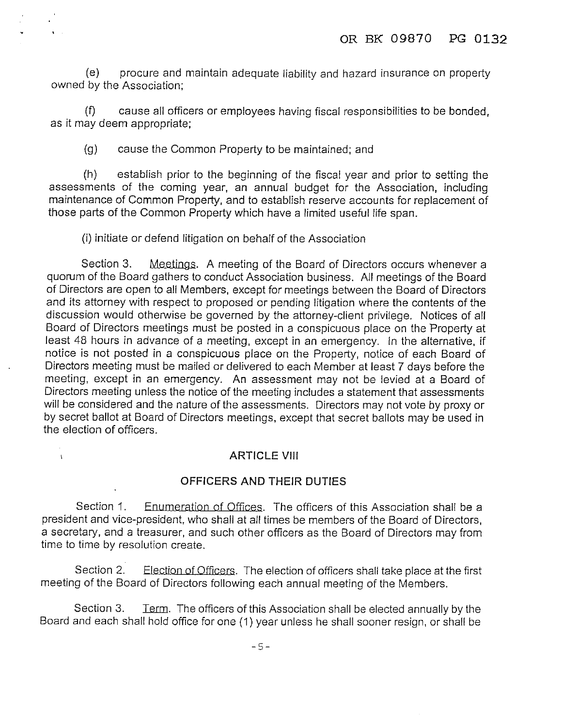(e) procure and maintain adequate liability and hazard insurance on property owned by the Association;

(f) cause all officers or employees having fiscal responsibilities to be bonded, as it may deem appropriate;

(g) cause the Common Property to be maintained; and

(h) establish prior to the beginning of the fiscal year and prior to setting the assessments of the coming year, an annual budget for the Association, including maintenance of Common Property, and to establish reserve accounts for replacement of those parts of the Common Property which have a limited useful life span.

(i) initiate or defend litigation on behalf of the Association

Section 3. Meetings. A meeting of the Board of Directors occurs whenever a quorum of the Board gathers to conduct Association business. All meetings of the Board of Directors are open to all Members, except for meetings between the Board of Directors and its attorney with respect to proposed or pending litigation where the contents of the discussion would otherwise be governed by the attorney-client privilege. Notices of all Board of Directors meetings must be posted in a conspicuous place on the Property at least 48 hours in advance of a meeting, except in an emergency. In the alternative, if notice is not posted in a conspicuous place on the Property, notice of each Board of Directors meeting must be mailed or delivered to each Member at least 7 days before the meeting, except in an emergency. An assessment may not be levied at a Board of Directors meeting unless the notice of the meeting includes a statement that assessments will be considered and the nature of the assessments. Directors may not *vote* by proxy or by secret ballot at Board of Directors meetings, except that secret ballots may be used in the election of officers.

# **ARTICLE VIII**

 $\mathbf{r}$ 

# **OFFICERS AND THEIR DUTIES**

Section 1. Enumeration of Offices. The officers of this Association shall be a president and vice-president, who shall at all times be members of the Board of Directors, a secretary, and a treasurer, and such other officers as the Board of Directors may from time to time by resolution create.

Section 2. Election of Officers. The election of officers shall take place at the first meeting of the Board of Directors following each annual meeting of the Members.

Section 3. Lerm. The officers of this Association shall be elected annually by the Board and each shall hold office for one (1) year unless he shall sooner resign, or shall be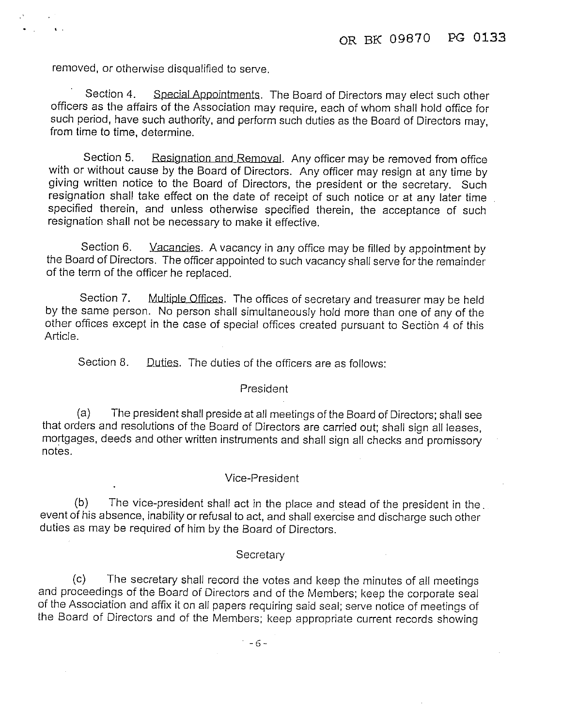removed, or otherwise disqualified to serve.

Section 4. Special Appointments. The Board of Directors may elect such other officers as the affairs of the Association may require, each of whom shall hold office for such period, have such authority, and perform such duties as the Board of Directors may, from time to time, determine.

Section 5. Resignation and Removal. Any officer may be removed from office with or without cause by the Board of Directors. Any officer may resign at any time by giving written notice to the Board of Directors, the president or the secretary. Such resignation shall take effect on the date of receipt of such notice or at any later time specified therein, and unless otherwise specified therein, the acceptance of such resignation shall not be necessary to make it effective.

Section 6. Vacancies. A vacancy in any office may be filled by appointment by the Board of Directors. The officer appointed to such vacancy shall serve for the remainder of the term of the officer he replaced.

Section 7. Multiple Offices. The offices of secretary and treasurer may be held by the same person. No person shall simultaneously hold more than one of any of the other offices except in the case of special offices created pursuant to Section 4 of this Article.

Section 8. Duties. The duties of the officers are as follows:

#### President

(a) The president shall preside at all meetings of the Board of Directors; shall see that orders and resolutions of the Board of Directors are carried out; shall sign all leases, mortgages, deeds and other written instruments and shall sign all checks and promissory notes.

#### Vice-President

(b) The vice-president shall act in the place and stead of the president in the. event of his absence, inability or refusal to act, and shall exercise and discharge such other duties as may be required of him by the Board of Directors.

#### **Secretary**

(c) The secretary shall record the votes and keep the minutes of all meetings and proceedings of the Board of Directors and of the Members; keep the corporate seal of the Association and affix it on all papers requiring said seal; serve notice of meetings of the Board of Directors and of the Members; keep appropriate current records showing

 $-6-$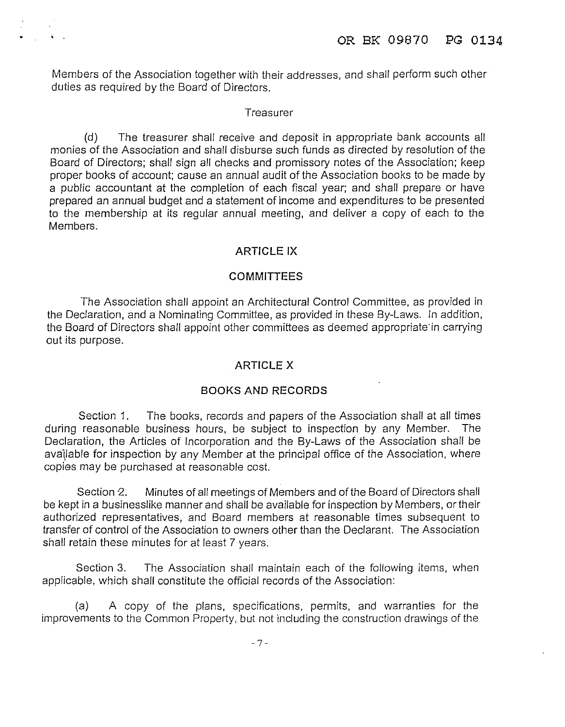Members of the Association together with their addresses, and shall perform such other duties as required by the Board of Directors.

### **Treasurer**

(d) The treasurer shall receive and deposit in appropriate bank accounts all monies of the Association and shall disburse such funds as directed by resolution of the Board of Directors; shall sign all checks and promissory notes of the Association; keep proper books of account; cause an annual audit of the Association books to be made by a public accountant at the completion of each fiscal year; and shall prepare or have prepared an annual budget and a statement of income and expenditures to be presented to the membership at its regular annual meeting, and deliver a copy of each to the Members.

# **ARTICLE IX**

# **COMMITTEES**

The Association shall appoint an Architectural Control Committee, as provided in the Declaration, and a Nominating Committee, as provided in these By-Laws. In addition, the Board of Directors shall appoint other committees as deemed appropriate·in carrying out its purpose.

# **ARTICLE X**

# **BOOKS AND RECORDS**

Section 1. The books, records and papers of the Association shall at all times during reasonable business hours, be subject to inspection by any Member. The Declaration, the Articles of Incorporation and the By-Laws of the Association shall be available for inspection by any Member at the principal office of the Association, where copies may be purchased at reasonable cost.

Section 2. Minutes of all meetings of Members and of the Board of Directors shall be kept in a businesslike manner and shall be available for inspection by Members, or their authorized representatives, and Board members at reasonable times subsequent to transfer of control of the Association to owners other than the Declarant. The Association shall retain these minutes for at least 7 years.

Section 3. The Association shall maintain each of the following items, when applicable, which shall constitute the official records of the Association:

(a) A copy of the plans, specifications, permits, and warranties for the improvements to the Common Property, but not including the construction drawings of the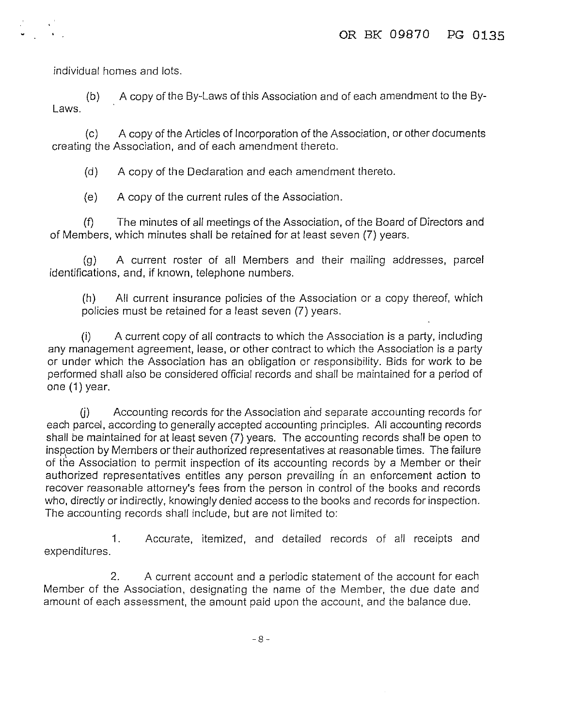individual homes and lots.

(b) A copy of the By-Laws of this Association and of each amendment to the Bylaws.

(c) A copy of the Articles of Incorporation of the Association, or other documents creating the Association, and of each amendment thereto.

(d) A copy of the Declaration and each amendment thereto.

(e) A copy of the current rules of the Association.

(f) The minutes of all meetings of the Association, of the Board of Directors and of Members, which minutes shall be retained for at least seven (7) years.

(g) A current roster of all Members and their mailing addresses, parcel identifications, and, if known, telephone numbers.

(h) All current insurance policies of the Association or a copy thereof, which policies must be retained for a least seven (7) years.

(i) A current copy of all contracts to which the Association is a party, including any management agreement, lease, or other contract to which the Association is a party or under which the Association has an obligation or responsibility. Bids for work to be performed shall also be considered official records and shall be maintained for a period of one (1) year.

U) Accounting records for the Association and separate accounting records for each parcel, according to generally accepted accounting principles. All accounting records shall be maintained for at least seven (7) years. The accounting records shall be open to inspection by Members or their authorized representatives at reasonable times. The failure of the Association to permit inspection of its accounting records by a Member or their authorized representatives entitles any person prevailing in an enforcement action to recover reasonable attorney's fees from the person in control of the books and records who, directly or indirectly, knowingly denied access to the books and records for inspection. The accounting records shall include, but are not limited to:

1. Accurate, itemized, and detailed records of all receipts and expenditures.

2. A current account and a periodic statement of the account for each Member of the Association, designating the name of the Member, the due date and amount of each assessment, the amount paid upon the account, and the balance due.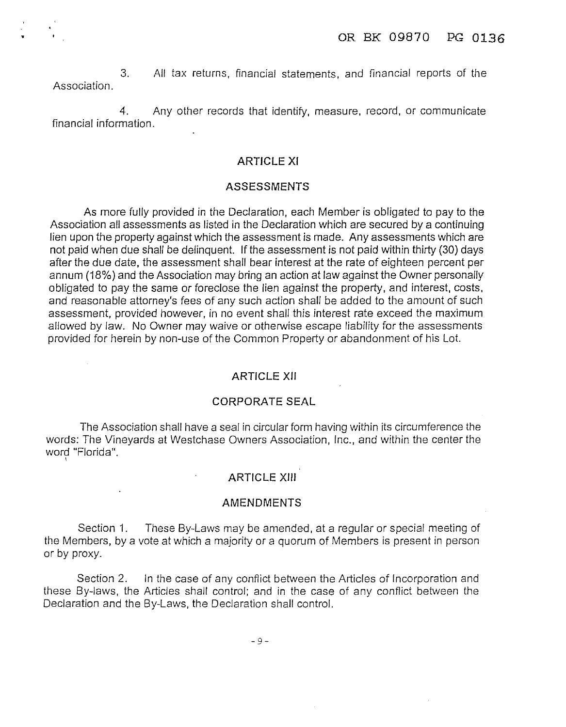3. All tax returns, financial statements, and financial reports of the Association.

4. Any other records that identify, measure, record, or communicate financial information.

# **ARTICLE XI**

#### **ASSESSMENTS**

As more fully provided in the Declaration, each Member is obligated to pay to the Association all assessments as listed in the Declaration which are secured by a continuing lien upon the property against which the assessment is made. Any assessments which are not paid when due shall be delinquent. If the assessment is not paid within thirty (30) days after the due date, the assessment shall bear interest at the rate of eighteen percent per annum (18%) and the Association may bring an action at law against the Owner personally obligated to pay the same or foreclose the lien against the property, and interest, costs, and reasonable attorney's fees of any such action shall be added to the amount of such assessment, provided however, in no event shall this interest rate exceed the maximum allowed by law. No Owner may waive or otherwise escape liability for the assessments provided for herein by non-use of the Common Property or abandonment of his Lot.

### **ARTICLE XII**

#### **CORPORATE SEAL**

The Association shall have a seal in circular form having within its circumference the words: The Vineyards at Westchase Owners Association, Inc., and within the center the word "Florida".

### **ARTICLE XIII**

#### **AMENDMENTS**

Section 1. These By-Laws may be amended, at a regular or special meeting of the Members, by a vote at which a majority or a quorum of Members is present in person or by proxy.

Section 2. In the case of any conflict between the Articles of Incorporation and these By-laws, the Articles shall control; and in the case of any conflict between the Declaration and the By-Laws, the Declaration shall control.

-9-